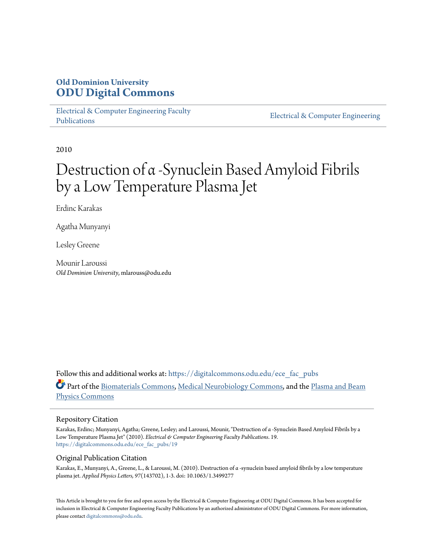# **Old Dominion University [ODU Digital Commons](https://digitalcommons.odu.edu?utm_source=digitalcommons.odu.edu%2Fece_fac_pubs%2F19&utm_medium=PDF&utm_campaign=PDFCoverPages)**

[Electrical & Computer Engineering Faculty](https://digitalcommons.odu.edu/ece_fac_pubs?utm_source=digitalcommons.odu.edu%2Fece_fac_pubs%2F19&utm_medium=PDF&utm_campaign=PDFCoverPages) [Publications](https://digitalcommons.odu.edu/ece_fac_pubs?utm_source=digitalcommons.odu.edu%2Fece_fac_pubs%2F19&utm_medium=PDF&utm_campaign=PDFCoverPages)

[Electrical & Computer Engineering](https://digitalcommons.odu.edu/ece?utm_source=digitalcommons.odu.edu%2Fece_fac_pubs%2F19&utm_medium=PDF&utm_campaign=PDFCoverPages)

2010

# Destruction of α -Synuclein Based Amyloid Fibrils by a Low Temperature Plasma Jet

Erdinc Karakas

Agatha Munyanyi

Lesley Greene

Mounir Laroussi *Old Dominion University*, mlarouss@odu.edu

Follow this and additional works at: [https://digitalcommons.odu.edu/ece\\_fac\\_pubs](https://digitalcommons.odu.edu/ece_fac_pubs?utm_source=digitalcommons.odu.edu%2Fece_fac_pubs%2F19&utm_medium=PDF&utm_campaign=PDFCoverPages) Part of the [Biomaterials Commons](http://network.bepress.com/hgg/discipline/233?utm_source=digitalcommons.odu.edu%2Fece_fac_pubs%2F19&utm_medium=PDF&utm_campaign=PDFCoverPages), [Medical Neurobiology Commons,](http://network.bepress.com/hgg/discipline/674?utm_source=digitalcommons.odu.edu%2Fece_fac_pubs%2F19&utm_medium=PDF&utm_campaign=PDFCoverPages) and the [Plasma and Beam](http://network.bepress.com/hgg/discipline/205?utm_source=digitalcommons.odu.edu%2Fece_fac_pubs%2F19&utm_medium=PDF&utm_campaign=PDFCoverPages) [Physics Commons](http://network.bepress.com/hgg/discipline/205?utm_source=digitalcommons.odu.edu%2Fece_fac_pubs%2F19&utm_medium=PDF&utm_campaign=PDFCoverPages)

#### Repository Citation

Karakas, Erdinc; Munyanyi, Agatha; Greene, Lesley; and Laroussi, Mounir, "Destruction of α -Synuclein Based Amyloid Fibrils by a Low Temperature Plasma Jet" (2010). *Electrical & Computer Engineering Faculty Publications*. 19. [https://digitalcommons.odu.edu/ece\\_fac\\_pubs/19](https://digitalcommons.odu.edu/ece_fac_pubs/19?utm_source=digitalcommons.odu.edu%2Fece_fac_pubs%2F19&utm_medium=PDF&utm_campaign=PDFCoverPages)

#### Original Publication Citation

Karakas, E., Munyanyi, A., Greene, L., & Laroussi, M. (2010). Destruction of α -synuclein based amyloid fibrils by a low temperature plasma jet. *Applied Physics Letters, 97*(143702), 1-3. doi: 10.1063/1.3499277

This Article is brought to you for free and open access by the Electrical & Computer Engineering at ODU Digital Commons. It has been accepted for inclusion in Electrical & Computer Engineering Faculty Publications by an authorized administrator of ODU Digital Commons. For more information, please contact [digitalcommons@odu.edu](mailto:digitalcommons@odu.edu).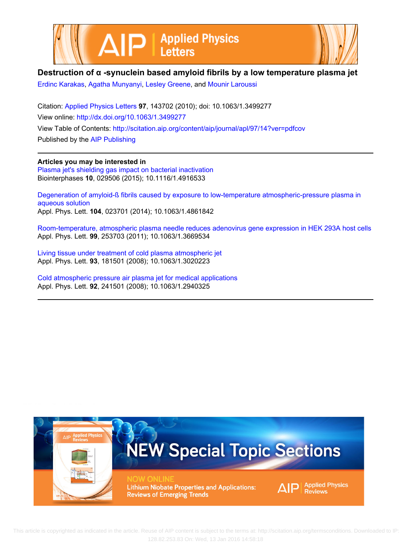



### **Destruction of α -synuclein based amyloid fibrils by a low temperature plasma jet**

[Erdinc Karakas](http://scitation.aip.org/search?value1=Erdinc+Karakas&option1=author), [Agatha Munyanyi,](http://scitation.aip.org/search?value1=Agatha+Munyanyi&option1=author) [Lesley Greene](http://scitation.aip.org/search?value1=Lesley+Greene&option1=author), and [Mounir Laroussi](http://scitation.aip.org/search?value1=Mounir+Laroussi&option1=author)

Citation: [Applied Physics Letters](http://scitation.aip.org/content/aip/journal/apl?ver=pdfcov) **97**, 143702 (2010); doi: 10.1063/1.3499277 View online: <http://dx.doi.org/10.1063/1.3499277> View Table of Contents:<http://scitation.aip.org/content/aip/journal/apl/97/14?ver=pdfcov> Published by the [AIP Publishing](http://scitation.aip.org/content/aip?ver=pdfcov)

**Articles you may be interested in**

[Plasma jet's shielding gas impact on bacterial inactivation](http://scitation.aip.org/content/avs/journal/bip/10/2/10.1116/1.4916533?ver=pdfcov) Biointerphases **10**, 029506 (2015); 10.1116/1.4916533

[Degeneration of amyloid-ß fibrils caused by exposure to low-temperature atmospheric-pressure plasma in](http://scitation.aip.org/content/aip/journal/apl/104/2/10.1063/1.4861842?ver=pdfcov) [aqueous solution](http://scitation.aip.org/content/aip/journal/apl/104/2/10.1063/1.4861842?ver=pdfcov) Appl. Phys. Lett. **104**, 023701 (2014); 10.1063/1.4861842

[Room-temperature, atmospheric plasma needle reduces adenovirus gene expression in HEK 293A host cells](http://scitation.aip.org/content/aip/journal/apl/99/25/10.1063/1.3669534?ver=pdfcov) Appl. Phys. Lett. **99**, 253703 (2011); 10.1063/1.3669534

[Living tissue under treatment of cold plasma atmospheric jet](http://scitation.aip.org/content/aip/journal/apl/93/18/10.1063/1.3020223?ver=pdfcov) Appl. Phys. Lett. **93**, 181501 (2008); 10.1063/1.3020223

[Cold atmospheric pressure air plasma jet for medical applications](http://scitation.aip.org/content/aip/journal/apl/92/24/10.1063/1.2940325?ver=pdfcov) Appl. Phys. Lett. **92**, 241501 (2008); 10.1063/1.2940325

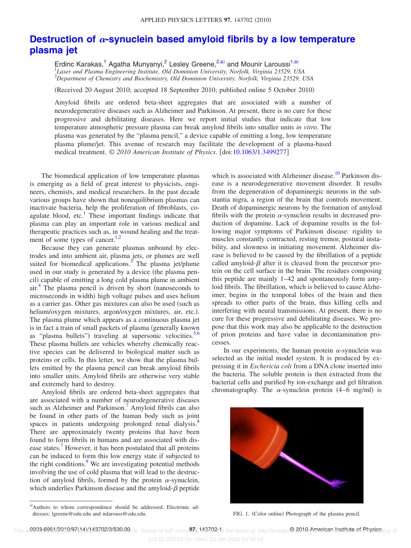## **Destruction of α[-synuclein based amyloid fibrils by a low temperature](http://dx.doi.org/10.1063/1.3499277) [plasma jet](http://dx.doi.org/10.1063/1.3499277)**

Erdinc Karakas,<sup>1</sup> Agatha Munyanyi,<sup>2</sup> Lesley Greene,<sup>2[,a](#page-2-0))</sup> and Mounir Laroussi<sup>1,a)</sup> 1 *Laser and Plasma Engineering Institute, Old Dominion University, Norfolk, Virginia 23529, USA* 2 *Department of Chemistry and Biochemistry, Old Dominion University, Norfolk, Virginia 23529, USA*

(Received 20 August 2010; accepted 18 September 2010; published online 5 October 2010)

Amyloid fibrils are ordered beta-sheet aggregates that are associated with a number of neurodegenerative diseases such as Alzheimer and Parkinson. At present, there is no cure for these progressive and debilitating diseases. Here we report initial studies that indicate that low temperature atmospheric pressure plasma can break amyloid fibrils into smaller units *in vitr*o. The plasma was generated by the "plasma pencil," a device capable of emitting a long, low temperature plasma plume/jet. This avenue of research may facilitate the development of a plasma-based medical treatment. © 2010 American Institute of Physics. [doi[:10.1063/1.3499277](http://dx.doi.org/10.1063/1.3499277)]

The biomedical application of low temperature plasmas is emerging as a field of great interest to physicists, engineers, chemists, and medical researchers. In the past decade various groups have shown that nonequilibrium plasmas can inactivate bacteria, help the proliferation of fibroblasts, coagulate blood, etc.<sup>1</sup> These important findings indicate that plasma can play an important role in various medical and therapeutic practices such as, in wound healing and the treatment of some types of cancer. $1,2$  $1,2$ 

Because they can generate plasmas unbound by electrodes and into ambient air, plasma jets, or plumes are well suited for biomedical applications. $3$  The plasma jet/plume used in our study is generated by a device (the plasma pencil) capable of emitting a long cold plasma plume in ambient  $air<sup>4</sup>$ . The plasma pencil is driven by short (nanoseconds to microseconds in width) high voltage pulses and uses helium as a carrier gas. Other gas mixtures can also be used (such as helium/oxygen mixtures, argon/oxygen mixtures, air, etc.). The plasma plume which appears as a continuous plasma jet is in fact a train of small packets of plasma (generally known as "plasma bullets") traveling at supersonic velocities. $5,6$  $5,6$ These plasma bullets are vehicles whereby chemically reactive species can be delivered to biological matter such as proteins or cells. In this letter, we show that the plasma bullets emitted by the plasma pencil can break amyloid fibrils into smaller units. Amyloid fibrils are otherwise very stable and extremely hard to destroy.

Amyloid fibrils are ordered beta-sheet aggregates that are associated with a number of neurodegenerative diseases such as Alzheimer and Parkinson.<sup>7</sup> Amyloid fibrils can also be found in other parts of the human body such as joint spaces in patients undergoing prolonged renal dialysis.<sup>8</sup> There are approximately twenty proteins that have been found to form fibrils in humans and are associated with disease states.<sup>7</sup> However, it has been postulated that all proteins can be induced to form this low energy state if subjected to the right conditions.<sup>9</sup> We are investigating potential methods involving the use of cold plasma that will lead to the destruction of amyloid fibrils, formed by the protein  $\alpha$ -synuclein, which underlies Parkinson disease and the amyloid- $\beta$  peptide which is associated with Alzheimer disease.<sup>10</sup> Parkinson disease is a neurodegenerative movement disorder. It results from the degeneration of dopaminergic neurons in the substantia nigra, a region of the brain that controls movement. Death of dopaminergic neurons by the formation of amyloid fibrils with the protein  $\alpha$ -synuclein results in decreased production of dopamine. Lack of dopamine results in the following major symptoms of Parkinson disease: rigidity to muscles constantly contracted, resting tremor, postural instability, and slowness in initiating movement. Alzheimer disease is believed to be caused by the fibrillation of a peptide called amyloid- $\beta$  after it is cleaved from the precursor protein on the cell surface in the brain. The residues composing this peptide are mainly 1–42 and spontaneously form amyloid fibrils. The fibrillation, which is believed to cause Alzheimer, begins in the temporal lobes of the brain and then spreads to other parts of the brain, thus killing cells and interfering with neural transmissions. At present, there is no cure for these progressive and debilitating diseases. We propose that this work may also be applicable to the destruction of prion proteins and have value in decontamination processes.

In our experiments, the human protein  $\alpha$ -synuclein was selected as the initial model system. It is produced by expressing it in *Eschericia coli* from a DNA clone inserted into the bacteria. The soluble protein is then extracted from the bacterial cells and purified by ion-exchange and gel filtration chromatography. The  $\alpha$ -synuclein protein (4–6 mg/ml) is

<span id="page-2-1"></span>

FIG. 1. (Color online) Photograph of the plasma pencil.

<span id="page-2-0"></span>a)Authors to whom correspondence should be addressed. Electronic addresses: lgreene@odu.edu and mlarouss@odu.edu.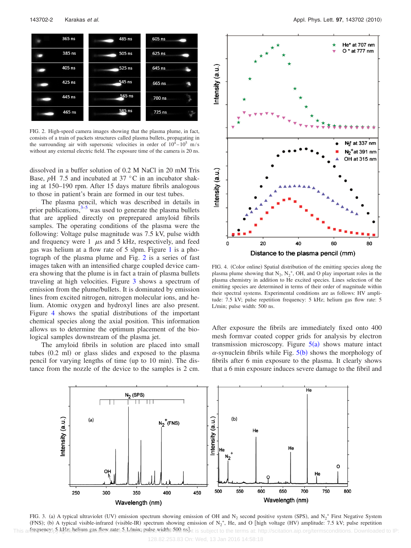<span id="page-3-0"></span>

FIG. 2. High-speed camera images showing that the plasma plume, in fact, consists of a train of packets structures called plasma bullets, propagating in the surrounding air with supersonic velocities in order of  $10^4 - 10^5$  m/s without any external electric field. The exposure time of the camera is 20 ns.

dissolved in a buffer solution of 0.2 M NaCl in 20 mM Tris Base, *pH* 7.5 and incubated at 37 °C in an incubator shaking at 150–190 rpm. After 15 days mature fibrils analogous to those in patient's brain are formed in our test tubes.

The plasma pencil, which was described in details in prior publications, $3-5$  was used to generate the plasma bullets that are applied directly on preprepared amyloid fibrils samples. The operating conditions of the plasma were the following: Voltage pulse magnitude was 7.5 kV, pulse width and frequency were 1  $\mu$ s and 5 kHz, respectively, and feed gas was helium at a flow rate of 5 slpm. Figure [1](#page-2-1) is a photograph of the plasma plume and Fig. [2](#page-3-0) is a series of fast images taken with an intensified charge coupled device camera showing that the plume is in fact a train of plasma bullets traveling at high velocities. Figure [3](#page-3-1) shows a spectrum of emission from the plume/bullets. It is dominated by emission lines from excited nitrogen, nitrogen molecular ions, and helium. Atomic oxygen and hydroxyl lines are also present. Figure [4](#page-3-2) shows the spatial distributions of the important chemical species along the axial position. This information allows us to determine the optimum placement of the biological samples downstream of the plasma jet.

<span id="page-3-1"></span>The amyloid fibrils in solution are placed into small tubes (0.2 ml) or glass slides and exposed to the plasma pencil for varying lengths of time (up to 10 min). The distance from the nozzle of the device to the samples is 2 cm.

<span id="page-3-2"></span>

FIG. 4. (Color online) Spatial distribution of the emitting species along the plasma plume showing that  $N_2$ ,  $N_2^+$ , OH, and O play important roles in the plasma chemistry in addition to He excited species. Lines selection of the emitting species are determined in terms of their order of magnitude within their spectral systems. Experimental conditions are as follows: HV amplitude: 7.5 kV; pulse repetition frequency: 5 kHz; helium gas flow rate: 5 L/min; pulse width: 500 ns.

After exposure the fibrils are immediately fixed onto 400 mesh formvar coated copper grids for analysis by electron transmission microscopy. Figure  $5(a)$  $5(a)$  shows mature intact  $\alpha$ -synuclein fibrils while Fig.  $5(b)$  $5(b)$  shows the morphology of fibrils after 6 min exposure to the plasma. It clearly shows that a 6 min exposure induces severe damage to the fibril and



FIG. 3. (a) A typical ultraviolet (UV) emission spectrum showing emission of OH and  $N_2$  second positive system (SPS), and  $N_2^+$  First Negative System (FNS); (b) A typical visible-infrared (visible-IR) spectrum showing emission of  $N_2^+$ , He, and O [high voltage (HV) amplitude: 7.5 kV; pulse repetition This antequency; 5 kHz: belium gas flow rate 5 h (min: pulse width: 500 nel at is subject to the terms at: http://scitation.aip.org/termsconditions. Downloaded to IP: